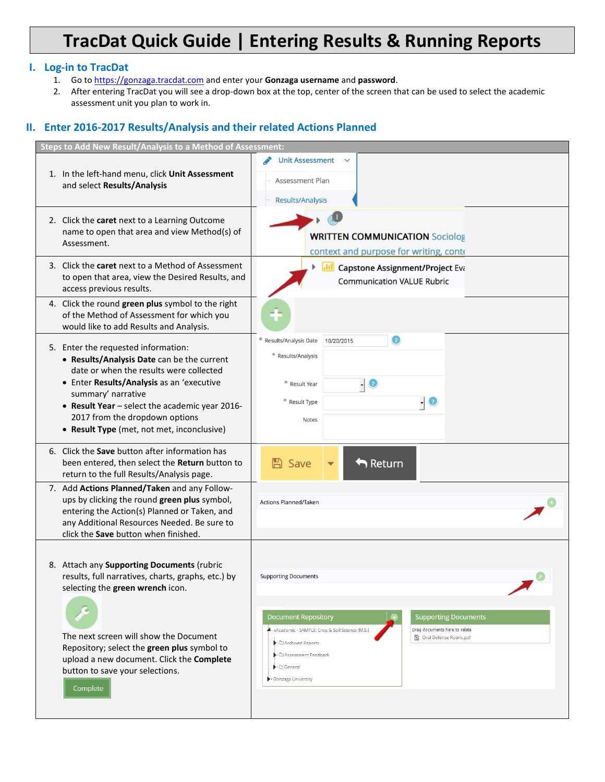# **TracDat Quick Guide | Entering Results & Running Reports**

## **I. Log-in to TracDat**

- 1. Go t[o https://gonzaga.tracdat.com](https://gonzaga.tracdat.com/) and enter your **Gonzaga username** and **password**.
- 2. After entering TracDat you will see a drop-down box at the top, center of the screen that can be used to select the academic assessment unit you plan to work in.

## **II. Enter 2016-2017 Results/Analysis and their related Actions Planned**

| Steps to Add New Result/Analysis to a Method of Assessment:                                                                                                                                                                                                                                                                       |                                                                                                                                                                                                                                                                                                                                |
|-----------------------------------------------------------------------------------------------------------------------------------------------------------------------------------------------------------------------------------------------------------------------------------------------------------------------------------|--------------------------------------------------------------------------------------------------------------------------------------------------------------------------------------------------------------------------------------------------------------------------------------------------------------------------------|
| 1. In the left-hand menu, click Unit Assessment<br>and select Results/Analysis                                                                                                                                                                                                                                                    | <b>Unit Assessment</b><br>Assessment Plan<br><b>Results/Analysis</b>                                                                                                                                                                                                                                                           |
| 2. Click the caret next to a Learning Outcome<br>name to open that area and view Method(s) of<br>Assessment.                                                                                                                                                                                                                      | <b>WRITTEN COMMUNICATION Sociolog</b><br>context and purpose for writing, conte                                                                                                                                                                                                                                                |
| 3. Click the caret next to a Method of Assessment<br>to open that area, view the Desired Results, and<br>access previous results.                                                                                                                                                                                                 | <b>I II</b> Capstone Assignment/Project Eva<br><b>Communication VALUE Rubric</b>                                                                                                                                                                                                                                               |
| 4. Click the round green plus symbol to the right<br>of the Method of Assessment for which you<br>would like to add Results and Analysis.                                                                                                                                                                                         |                                                                                                                                                                                                                                                                                                                                |
| 5. Enter the requested information:<br>• Results/Analysis Date can be the current<br>date or when the results were collected<br>• Enter Results/Analysis as an 'executive<br>summary' narrative<br>• Result Year - select the academic year 2016-<br>2017 from the dropdown options<br>• Result Type (met, not met, inconclusive) | $\bf{O}$<br>* Results/Analysis Date<br>10/20/2015<br>* Results/Analysis<br>* Result Year<br>$\cdot  $ $\circ$<br>$\cdot$ $\circ$<br>* Result Type<br><b>Notes</b>                                                                                                                                                              |
| 6. Click the Save button after information has<br>been entered, then select the Return button to<br>return to the full Results/Analysis page.                                                                                                                                                                                     | <b>A</b> Save<br><b>Return</b>                                                                                                                                                                                                                                                                                                 |
| 7. Add Actions Planned/Taken and any Follow-<br>ups by clicking the round green plus symbol,<br>entering the Action(s) Planned or Taken, and<br>any Additional Resources Needed. Be sure to<br>click the Save button when finished.                                                                                               | <b>Actions Planned/Taken</b>                                                                                                                                                                                                                                                                                                   |
| 8. Attach any Supporting Documents (rubric<br>results, full narratives, charts, graphs, etc.) by<br>selecting the green wrench icon.<br>The next screen will show the Document<br>Repository; select the green plus symbol to<br>upload a new document. Click the Complete<br>button to save your selections.<br>Complete         | <b>Supporting Documents</b><br><b>Document Repository</b><br><b>Supporting Documents</b><br>- xAcademic - SAMPLE: Crop & Soil Science (M.S.)<br>Drag documents here to relate<br><b>S</b> Oral Defense Rubric.pdf<br>▶ □ Archived Reports<br>Assessment Feedback<br>$\blacktriangleright$ $\Box$ General<br>Gonzaga University |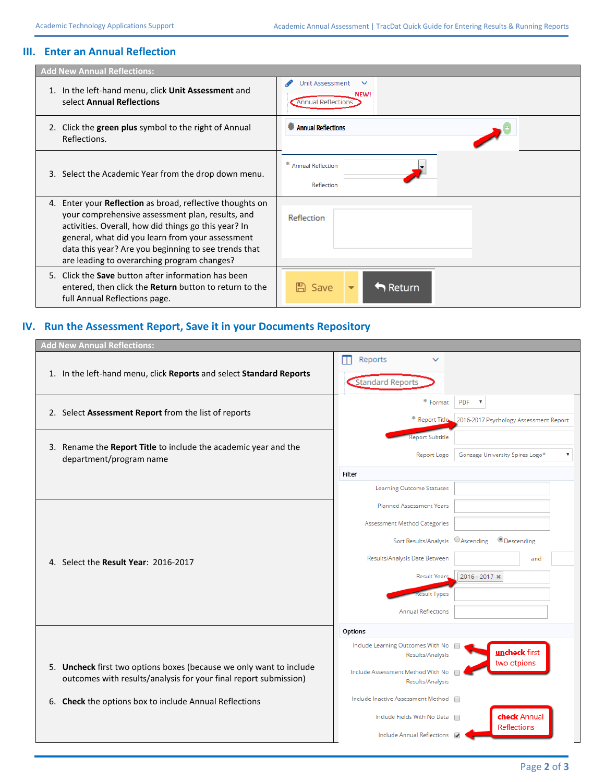### **III. Enter an Annual Reflection**

| <b>Add New Annual Reflections:</b> |                                                                                                                                                                                                                                                                                                                                         |                                                                      |  |  |
|------------------------------------|-----------------------------------------------------------------------------------------------------------------------------------------------------------------------------------------------------------------------------------------------------------------------------------------------------------------------------------------|----------------------------------------------------------------------|--|--|
| 1.                                 | In the left-hand menu, click Unit Assessment and<br>select Annual Reflections                                                                                                                                                                                                                                                           | <b>Unit Assessment</b><br>$\checkmark$<br>NEW!<br>Annual Reflections |  |  |
|                                    | 2. Click the green plus symbol to the right of Annual<br>Reflections.                                                                                                                                                                                                                                                                   | Annual Reflections                                                   |  |  |
|                                    | 3. Select the Academic Year from the drop down menu.                                                                                                                                                                                                                                                                                    | <b>Annual Reflection</b><br>Reflection                               |  |  |
|                                    | 4. Enter your <b>Reflection</b> as broad, reflective thoughts on<br>your comprehensive assessment plan, results, and<br>activities. Overall, how did things go this year? In<br>general, what did you learn from your assessment<br>data this year? Are you beginning to see trends that<br>are leading to overarching program changes? | Reflection                                                           |  |  |
|                                    | 5. Click the Save button after information has been<br>entered, then click the Return button to return to the<br>full Annual Reflections page.                                                                                                                                                                                          | Save<br>$\blacktriangleright$ Return                                 |  |  |

## **IV. Run the Assessment Report, Save it in your Documents Repository**

| <b>Add New Annual Reflections:</b>                                                                                                      |                                                                        |                           |
|-----------------------------------------------------------------------------------------------------------------------------------------|------------------------------------------------------------------------|---------------------------|
|                                                                                                                                         | Reports<br>Ш<br>v                                                      |                           |
| 1. In the left-hand menu, click Reports and select Standard Reports                                                                     | Standard Reports                                                       |                           |
|                                                                                                                                         | $\ast$ Format<br><b>PDF</b><br>$\boldsymbol{\mathrm{v}}$               |                           |
| 2. Select Assessment Report from the list of reports                                                                                    | * Report Title 2016-2017 Psychology Assessment Report                  |                           |
|                                                                                                                                         | <b>Report Subtitle</b>                                                 |                           |
| 3. Rename the Report Title to include the academic year and the<br>department/program name                                              | Gonzaga University Spires Logo*<br>Report Logo                         | $\boldsymbol{\mathrm{v}}$ |
|                                                                                                                                         | Filter                                                                 |                           |
|                                                                                                                                         | <b>Learning Outcome Statuses</b>                                       |                           |
|                                                                                                                                         | <b>Planned Assessment Years</b>                                        |                           |
|                                                                                                                                         | <b>Assessment Method Categories</b>                                    |                           |
|                                                                                                                                         | OAscending<br><b>O</b> Descending<br>Sort Results/Analysis             |                           |
| 4. Select the Result Year: 2016-2017                                                                                                    | Results/Analysis Date Between                                          | and                       |
|                                                                                                                                         | Result Years 2016 - 2017 X                                             |                           |
|                                                                                                                                         | <b>Result Types</b>                                                    |                           |
|                                                                                                                                         | <b>Annual Reflections</b>                                              |                           |
|                                                                                                                                         | Options                                                                |                           |
|                                                                                                                                         | Include Learning Outcomes With No<br>uncheck first<br>Results/Analysis |                           |
| 5. Uncheck first two options boxes (because we only want to include<br>outcomes with results/analysis for your final report submission) | two otpions<br>Include Assessment Method With No                       |                           |
|                                                                                                                                         | Results/Analysis                                                       |                           |
| 6. Check the options box to include Annual Reflections                                                                                  | Include Inactive Assessment Method                                     |                           |
|                                                                                                                                         | check Annual<br>Include Fields With No Data<br><b>Reflections</b>      |                           |
|                                                                                                                                         | Include Annual Reflections                                             |                           |